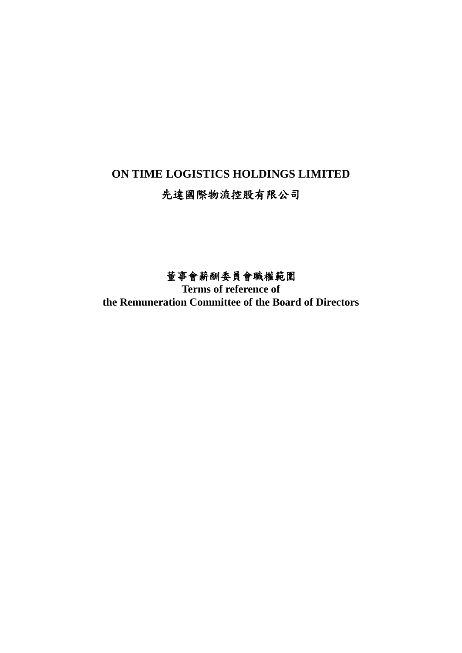# **ON TIME LOGISTICS HOLDINGS LIMITED**

# 先達國際物流控股有限公司

# 董事會薪酬委員會職權範圍

**Terms of reference of the Remuneration Committee of the Board of Directors**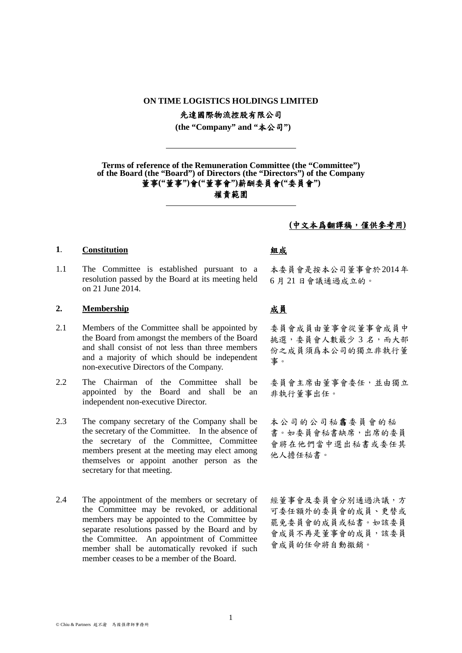### **ON TIME LOGISTICS HOLDINGS LIMITED**

先達國際物流控股有限公司

**(the "Company" and "**本公司**")**

**Terms of reference of the Remuneration Committee (the "Committee") of the Board (the "Board") of Directors (the "Directors") of the Company** 董事**("**董事**")**會**("**董事會**")**薪酬委員會**("**委員會**")**

# 權責範圍

## **(**中文本爲翻譯稿,僅供參考用**)**

### **1**. **Constitution** 組成

1.1 The Committee is established pursuant to a resolution passed by the Board at its meeting held on 21 June 2014.

## **2. Membership** 成員

- 2.1 Members of the Committee shall be appointed by the Board from amongst the members of the Board and shall consist of not less than three members and a majority of which should be independent non-executive Directors of the Company.
- 2.2 The Chairman of the Committee shall be appointed by the Board and shall be an independent non-executive Director.
- 2.3 The company secretary of the Company shall be the secretary of the Committee. In the absence of the secretary of the Committee, Committee members present at the meeting may elect among themselves or appoint another person as the secretary for that meeting.
- 2.4 The appointment of the members or secretary of the Committee may be revoked, or additional members may be appointed to the Committee by separate resolutions passed by the Board and by the Committee. An appointment of Committee member shall be automatically revoked if such member ceases to be a member of the Board.

本委員會是按本公司董事會於2014年 6 月 21 日會議通過成立的。

委員會成員由董事會從董事會成員中 挑選,委員會人數最少 3 名,而大部 份之成員須爲本公司的獨立非執行董 事。

委員會主席由董事會委任,並由獨立 非執行董事出任。

本公司的公司秘書委員會的秘 書。如委員會秘書缺席,出席的委員 會將在他們當中選出秘書或委任其 他人擔任秘書。

經董事會及委員會分別通過決議,方 可委任額外的委員會的成員、更替或 罷免委員會的成員或秘書。如該委員 會成員不再是董事會的成員,該委員 會成員的任命將自動撤銷。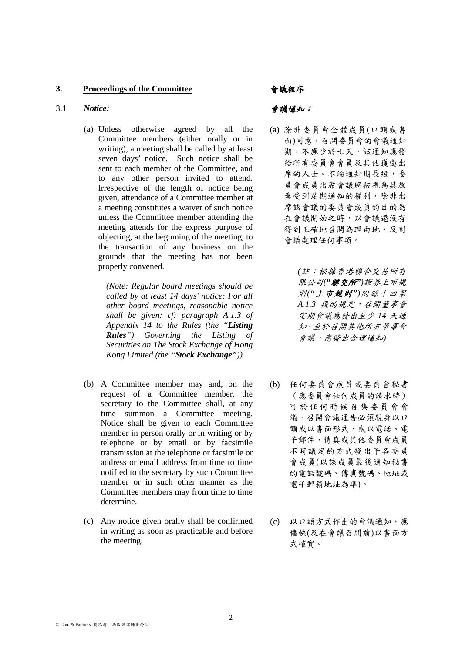### **3. Proceedings of the Committee** 會議程序

### 3.1 *Notice:* 會議通知:

(a) Unless otherwise agreed by all the Committee members (either orally or in writing), a meeting shall be called by at least seven days' notice. Such notice shall be sent to each member of the Committee, and to any other person invited to attend. Irrespective of the length of notice being given, attendance of a Committee member at a meeting constitutes a waiver of such notice unless the Committee member attending the meeting attends for the express purpose of objecting, at the beginning of the meeting, to the transaction of any business on the grounds that the meeting has not been properly convened.

> *(Note: Regular board meetings should be called by at least 14 days' notice: For all other board meetings, reasonable notice shall be given: cf: paragraph A.1.3 of Appendix 14 to the Rules (the "Listing Rules") Governing the Listing of Securities on The Stock Exchange of Hong Kong Limited (the "Stock Exchange"))*

- (b) A Committee member may and, on the request of a Committee member, the secretary to the Committee shall, at any time summon a Committee meeting. Notice shall be given to each Committee member in person orally or in writing or by telephone or by email or by facsimile transmission at the telephone or facsimile or address or email address from time to time notified to the secretary by such Committee member or in such other manner as the Committee members may from time to time determine.
- (c) Any notice given orally shall be confirmed in writing as soon as practicable and before the meeting.

(a) 除非委員會全體成員(口頭或書 面)同意,召開委員會的會議通知 期,不應少於七天。該通知應發 給所有委員會會員及其他獲邀出 席的人士。不論通知期長短,委 員會成員出席會議將被視為其放 棄受到足期通知的權利,除非出 席該會議的委員會成員的目的為 在會議開始之時,以會議還沒有 得到正確地召開為理由地,反對 會議處理任何事項。

> *(*註:根據香港聯合交易所有 限公司*("*聯交所*")*證券上巿規 則*("*上市規則*")*附錄十四第 *A.1.3* 段的規定,召開董事會 定期會議應發出至少 *14* 天通 知。至於召開其他所有董事會 會議,應發出合理通知*)*

- (b) 任何委員會成員或委員會秘書 (應委員會任何成員的請求時) 可於任何時候召集 委員會 會 議。召開會議通告必須親身以口 頭或以書面形式、或以電話、電 子郵件、傳真或其他委員會成員 不時議定的方式發出予各委員 會成員(以該成員最後通知秘書 的電話號碼、傳真號碼、地址或 電子郵箱地址為準)。
- (c) 以口頭方式作出的會議通知,應 儘快(及在會議召開前)以書面方 式確實。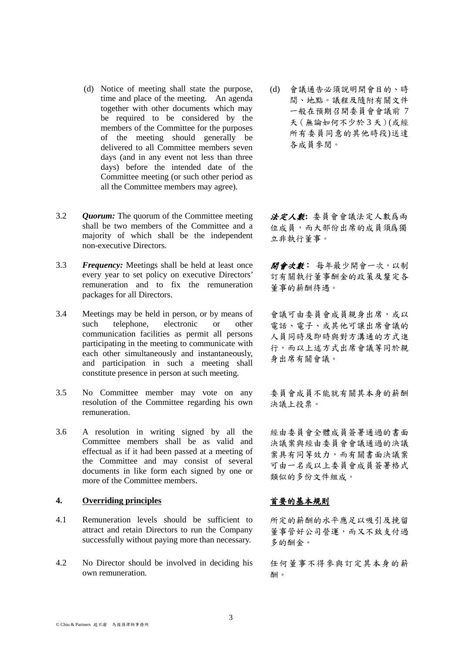- (d) Notice of meeting shall state the purpose, time and place of the meeting. An agenda together with other documents which may be required to be considered by the members of the Committee for the purposes of the meeting should generally be delivered to all Committee members seven days (and in any event not less than three days) before the intended date of the Committee meeting (or such other period as all the Committee members may agree).
- 3.2 *Quorum:* The quorum of the Committee meeting shall be two members of the Committee and a majority of which shall be the independent non-executive Directors.
- 3.3 *Frequency:* Meetings shall be held at least once every year to set policy on executive Directors' remuneration and to fix the remuneration packages for all Directors.
- 3.4 Meetings may be held in person, or by means of such telephone, electronic or other communication facilities as permit all persons participating in the meeting to communicate with each other simultaneously and instantaneously, and participation in such a meeting shall constitute presence in person at such meeting.
- 3.5 No Committee member may vote on any resolution of the Committee regarding his own remuneration.
- 3.6 A resolution in writing signed by all the Committee members shall be as valid and effectual as if it had been passed at a meeting of the Committee and may consist of several documents in like form each signed by one or more of the Committee members.

## **4. Overriding principles** 首要的基本規則

- 4.1 Remuneration levels should be sufficient to attract and retain Directors to run the Company successfully without paying more than necessary.
- 4.2 No Director should be involved in deciding his own remuneration.

(d) 會議通告必須說明開會目的、時 間、地點。議程及隨附有關文件 一般在預期召開委員會會議前 7 天(無論如何不少於 3 天)(或經 所有委員同意的其他時段)送達 各成員參閱。

法定人數**:** 委員會會議法定人數爲兩 位成員,而大部份出席的成員須爲獨 立非執行董事。

開會次數: 每年最少開會一次,以制 訂有關執行董事酬金的政策及釐定各 董事的薪酬待遇。

會議可由委員會成員親身出席,或以 電話、電子、或其他可讓出席會議的 人員同時及即時與對方溝通的方式進 行,而以上述方式出席會議等同於親 身出席有關會議。

委員會成員不能就有關其本身的薪酬 決議上投票。

經由委員會全體成員簽署通過的書面 決議案與經由委員會會議通過的決議 案具有同等效力,而有關書面決議案 可由一名或以上委員會成員簽署格式 類似的多份文件組成。

所定的薪酬的水平應足以吸引及挽留 董事管好公司營運,而又不致支付過 多的酬金。

任何董事不得參與訂定其本身的薪 酬。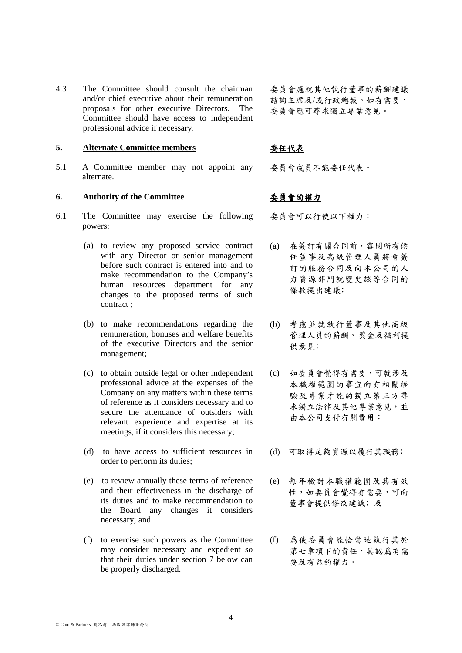4.3 The Committee should consult the chairman and/or chief executive about their remuneration proposals for other executive Directors. The Committee should have access to independent professional advice if necessary.

# **5. Alternate Committee members** 委任代表

5.1 A Committee member may not appoint any alternate.

# **6. Authority of the Committee** 委員會的權力

- 6.1 The Committee may exercise the following powers:
	- (a) to review any proposed service contract with any Director or senior management before such contract is entered into and to make recommendation to the Company's human resources department for any changes to the proposed terms of such contract ;
	- (b) to make recommendations regarding the remuneration, bonuses and welfare benefits of the executive Directors and the senior management;
	- (c) to obtain outside legal or other independent professional advice at the expenses of the Company on any matters within these terms of reference as it considers necessary and to secure the attendance of outsiders with relevant experience and expertise at its meetings, if it considers this necessary;
	- (d) to have access to sufficient resources in order to perform its duties;
	- (e) to review annually these terms of reference and their effectiveness in the discharge of its duties and to make recommendation to the Board any changes it considers necessary; and
	- (f) to exercise such powers as the Committee may consider necessary and expedient so that their duties under section 7 below can be properly discharged.

委員會應就其他執行董事的薪酬建議 諮詢主席及/或行政總裁。如有需要, 委員會應可尋求獨立專業意見。

委員會成員不能委任代表。

委員會可以行使以下權力:

- (a) 在簽訂有關合同前,審閱所有候 任董事及高級管理人員將會簽 訂的服務合同及向本公司的人 力資源部門就變更該等合同的 條款提出建議;
- (b) 考慮並就執行董事及其他高級 管理人員的薪酬、奬金及福利提 供意見;
- (c) 如委員會覺得有需要,可就涉及 本職權範圍的事宜向有相關經 驗及專業才能的獨立第三方尋 求獨立法律及其他專業意見,並 由本公司支付有關費用;
- (d) 可取得足夠資源以履行其職務﹔
- (e) 每年檢討本職權範圍及其有效 性,如委員會覺得有需要,可向 董事會提供修改建議;及
- (f) 爲使委員會能恰當地執行其於 第七章項下的責任,其認爲有需 要及有益的權力。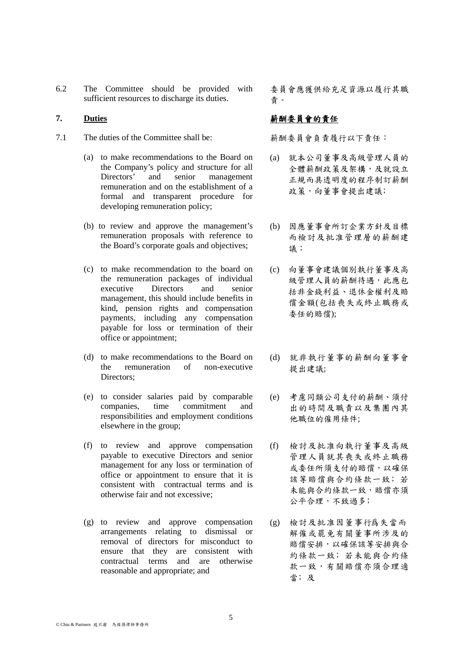6.2 The Committee should be provided with sufficient resources to discharge its duties.

- 7.1 The duties of the Committee shall be: 薪酬委員會負責履行以下責任:
	- (a) to make recommendations to the Board on the Company's policy and structure for all Directors' and senior management remuneration and on the establishment of a formal and transparent procedure for developing remuneration policy;
	- (b) to review and approve the management's remuneration proposals with reference to the Board's corporate goals and objectives;
	- (c) to make recommendation to the board on the remuneration packages of individual executive Directors and senior management, this should include benefits in kind, pension rights and compensation payments, including any compensation payable for loss or termination of their office or appointment;
	- (d) to make recommendations to the Board on the remuneration of non-executive Directors;
	- (e) to consider salaries paid by comparable companies, time commitment and responsibilities and employment conditions elsewhere in the group;
	- (f) to review and approve compensation payable to executive Directors and senior management for any loss or termination of office or appointment to ensure that it is consistent with contractual terms and is otherwise fair and not excessive;
	- (g) to review and approve compensation arrangements relating to dismissal or removal of directors for misconduct to ensure that they are consistent with contractual terms and are otherwise reasonable and appropriate; and

委員會應獲供給充足資源以履行其職 責。

# 7. Duties **buties buties** and the property of the of the set of the set of the set of the set of the set of the set of the set of the set of the set of the set of the set of the set of the set of the set of the set of t

- (a) 就本公司董事及高級管理人員的 全體薪酬政策及架構,及就設立 正規而具透明度的程序制訂薪酬 政策,向董事會提出建議;
- (b) 因應董事會所訂企業方針及目標 而檢討及批准管理層的薪酬建 議;
- (c) 向董事會建議個別執行董事及高 級管理人員的薪酬待遇,此應包 括非金錢利益、退休金權利及賠 償金額(包括喪失或終止職務或 委任的賠償);
- (d) 就非執行董事的薪酬向董事會 提出建議;
- (e) 考慮同類公司支付的薪酬、須付 出的時間及職責以及集團內其 他職位的僱用條件;
- (f) 檢討及批准向執行董事及高級 管理人員就其喪失或終止職務 或委任所須支付的賠償,以確保 該等賠償與合約條款一致;若 未能與合約條款一致,賠償亦須 公平合理,不致過多;
- (g) 檢討及批准因董事行爲失當而 解僱或罷免有關董事所涉及的 賠償安排,以確保該等安排與合 約條款一致﹔若未能與合約條 款一致,有關賠償亦須合理適 當; 及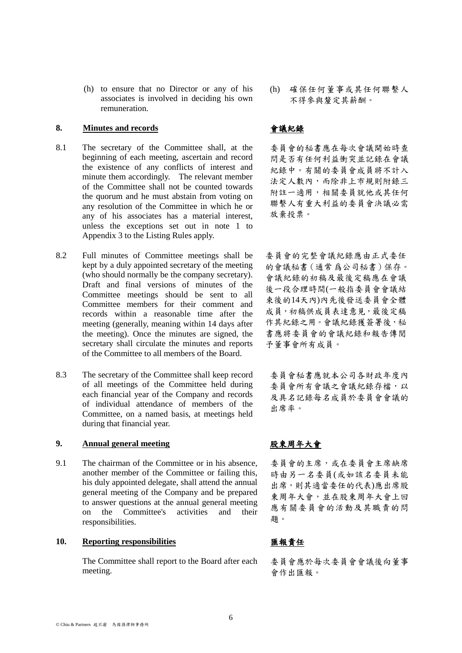during that financial year.

9.1 The chairman of the Committee or in his absence, another member of the Committee or failing this, his duly appointed delegate, shall attend the annual general meeting of the Company and be prepared to answer questions at the annual general meeting

8.3 The secretary of the Committee shall keep record

of all meetings of the Committee held during each financial year of the Company and records of individual attendance of members of the Committee, on a named basis, at meetings held

(h) to ensure that no Director or any of his associates is involved in deciding his own

beginning of each meeting, ascertain and record the existence of any conflicts of interest and minute them accordingly. The relevant member of the Committee shall not be counted towards the quorum and he must abstain from voting on any resolution of the Committee in which he or any of his associates has a material interest, unless the exceptions set out in note 1 to

8.1 The secretary of the Committee shall, at the

Appendix 3 to the Listing Rules apply.

8.2 Full minutes of Committee meetings shall be

kept by a duly appointed secretary of the meeting (who should normally be the company secretary). Draft and final versions of minutes of the Committee meetings should be sent to all Committee members for their comment and records within a reasonable time after the meeting (generally, meaning within 14 days after the meeting). Once the minutes are signed, the secretary shall circulate the minutes and reports of the Committee to all members of the Board.

remuneration.

**10. Reporting responsibilities** 匯報責任

responsibilities.

The Committee shall report to the Board after each meeting.

on the Committee's activities and their

(h) 確保任何董事或其任何聯繫人 不得參與釐定其薪酬。

# **8. Minutes and records** 會議紀錄

委員會的秘書應在每次會議開始時查 問是否有任何利益衝突並記錄在會議 紀錄中。有關的委員會成員將不計入 法定人數內,而除非上市規則附錄三 附註一適用,相關委員就他或其任何 聯繫人有重大利益的委員會決議必需 放棄投票。

委員會的完整會議紀錄應由正式委任 的會議秘書(通常 爲公司秘書)保存。 會議紀錄的初稿及最後定稿應在會議 後一段合理時間(一般指委員會會議結 束後的14天內)內先後發送委員會全體 成員,初稿供成員表達意見,最後定稿 作其紀錄之用。會議紀錄獲簽署後,秘 書應將委員會的會議紀錄和報告傳閱 予董事會所有成員。

委員會秘書應就本公司各財政年度內 委員會所有會議之會議紀錄存檔,以 及具名記錄每名成員於委員會會議的 出席率。

# **9. Annual general meeting** 股東周年大會

委員會的主席,或在委員會主席缺席 時由另一名委員(或如該名委員未能 出席,則其適當委任的代表)應出席股 東周年大會,並在股東周年大會上回 應有關委員會的活動及其職責的問 題。

委員會應於每次委員會會議後向董事 會作出匯報。